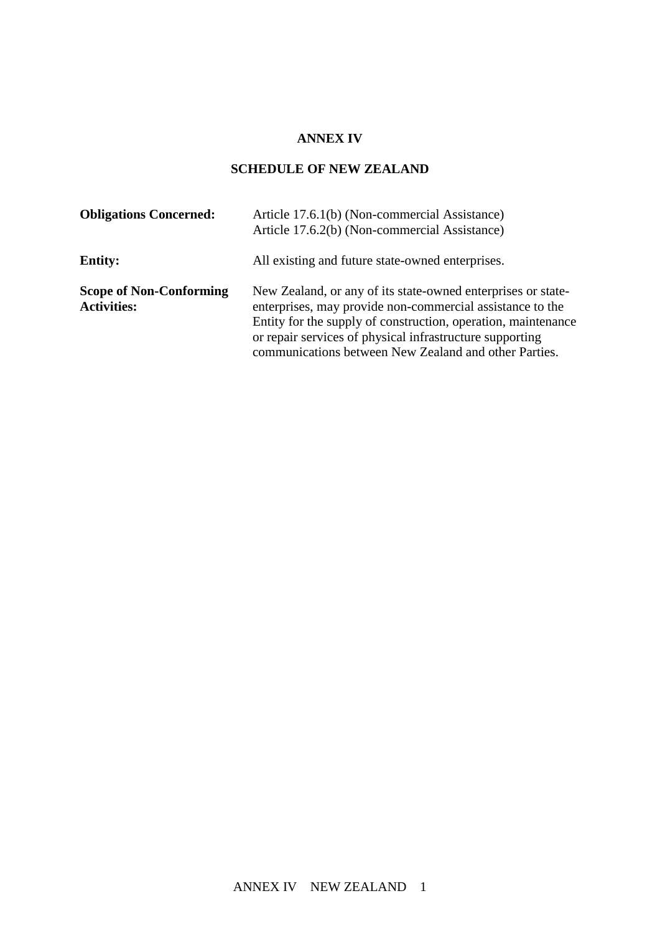## **ANNEX IV**

## **SCHEDULE OF NEW ZEALAND**

| <b>Obligations Concerned:</b>                        | Article 17.6.1(b) (Non-commercial Assistance)<br>Article 17.6.2(b) (Non-commercial Assistance)                                                                                                                                                                                                                  |
|------------------------------------------------------|-----------------------------------------------------------------------------------------------------------------------------------------------------------------------------------------------------------------------------------------------------------------------------------------------------------------|
| <b>Entity:</b>                                       | All existing and future state-owned enterprises.                                                                                                                                                                                                                                                                |
| <b>Scope of Non-Conforming</b><br><b>Activities:</b> | New Zealand, or any of its state-owned enterprises or state-<br>enterprises, may provide non-commercial assistance to the<br>Entity for the supply of construction, operation, maintenance<br>or repair services of physical infrastructure supporting<br>communications between New Zealand and other Parties. |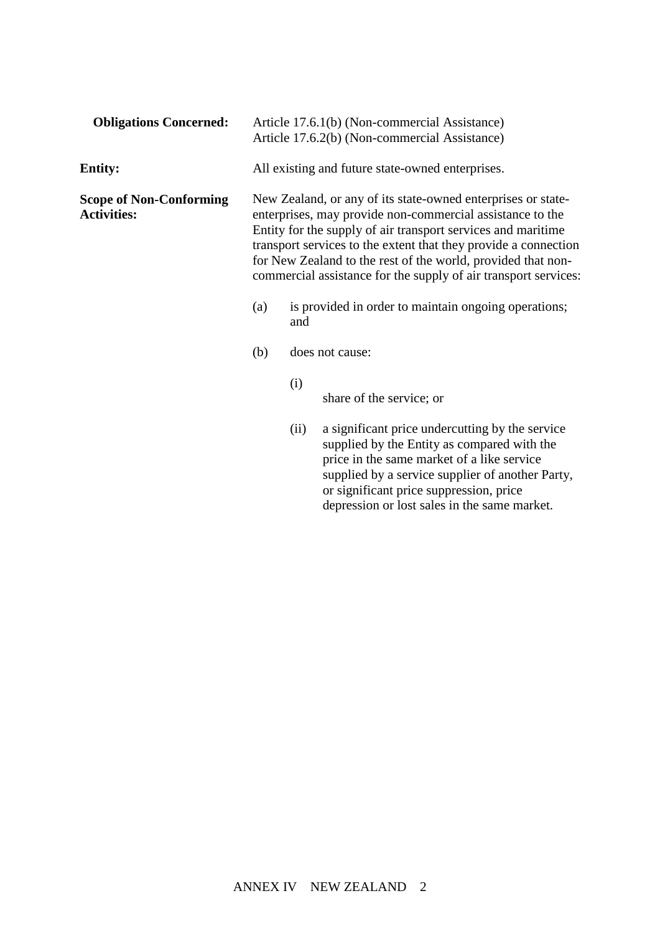| <b>Obligations Concerned:</b>                        | Article 17.6.1(b) (Non-commercial Assistance)<br>Article 17.6.2(b) (Non-commercial Assistance) |                                                                                                                                                                                                                                                                                                                                                                                                 |                                                                                                                                                                                                  |  |
|------------------------------------------------------|------------------------------------------------------------------------------------------------|-------------------------------------------------------------------------------------------------------------------------------------------------------------------------------------------------------------------------------------------------------------------------------------------------------------------------------------------------------------------------------------------------|--------------------------------------------------------------------------------------------------------------------------------------------------------------------------------------------------|--|
| <b>Entity:</b>                                       | All existing and future state-owned enterprises.                                               |                                                                                                                                                                                                                                                                                                                                                                                                 |                                                                                                                                                                                                  |  |
| <b>Scope of Non-Conforming</b><br><b>Activities:</b> |                                                                                                | New Zealand, or any of its state-owned enterprises or state-<br>enterprises, may provide non-commercial assistance to the<br>Entity for the supply of air transport services and maritime<br>transport services to the extent that they provide a connection<br>for New Zealand to the rest of the world, provided that non-<br>commercial assistance for the supply of air transport services: |                                                                                                                                                                                                  |  |
|                                                      | (a)                                                                                            | and                                                                                                                                                                                                                                                                                                                                                                                             | is provided in order to maintain ongoing operations;                                                                                                                                             |  |
|                                                      | (b)                                                                                            |                                                                                                                                                                                                                                                                                                                                                                                                 | does not cause:                                                                                                                                                                                  |  |
|                                                      |                                                                                                | (i)                                                                                                                                                                                                                                                                                                                                                                                             | share of the service; or                                                                                                                                                                         |  |
|                                                      |                                                                                                | (ii)                                                                                                                                                                                                                                                                                                                                                                                            | a significant price undercutting by the service<br>supplied by the Entity as compared with the<br>price in the same market of a like service<br>supplied by a service supplier of another Party, |  |

or significant price suppression, price depression or lost sales in the same market.